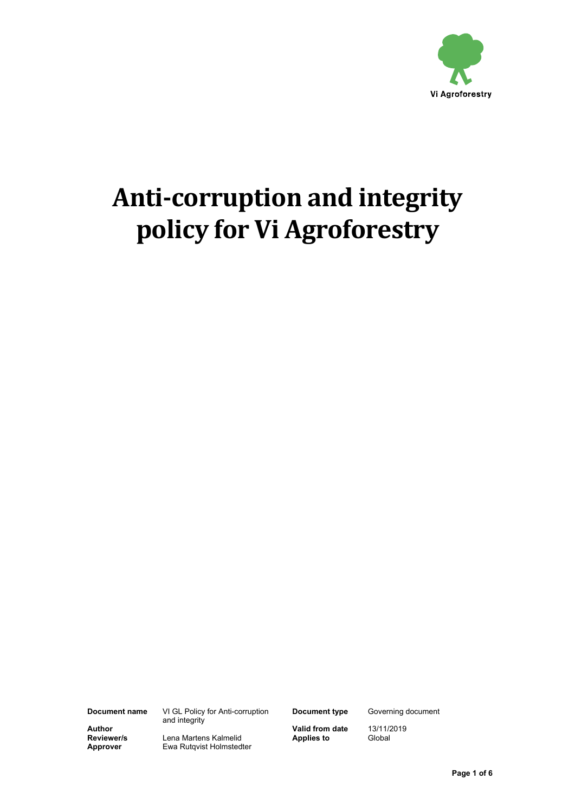

# **Anti-corruption and integrity policy for Vi Agroforestry**

**Document name** VI GL Policy for Anti-corruption and integrity

**Document type** Governing document

**Author Continuing the Contract of Caution Valid from date** 13/11/2019<br> **Reviewer/s** Lena Martens Kalmelid **Contract Applies to** Global **Reviewer/s** Lena Martens Kalmelid<br> **Approver** Ewa Rutqvist Holmsted **Ewa Rutqvist Holmstedter** 

 **Page 1 of 6**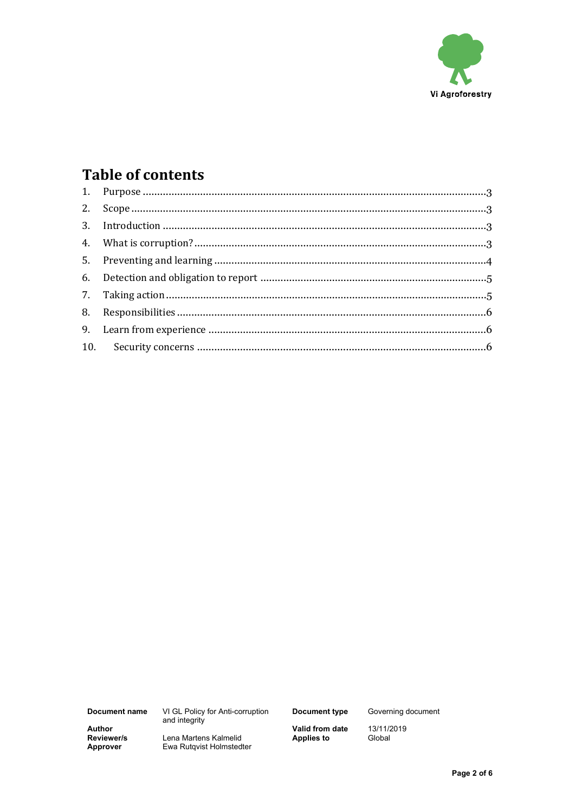

## **Table of contents**

Document name

VI GL Policy for Anti-corruption<br>and integrity

**Document type** 

Governing document

13/11/2019<br>Global

**Author**<br>Reviewer/s Approver

Lena Martens Kalmelid Ewa Rutqvist Holmstedter **Valid from date<br>Applies to** 

Page 2 of 6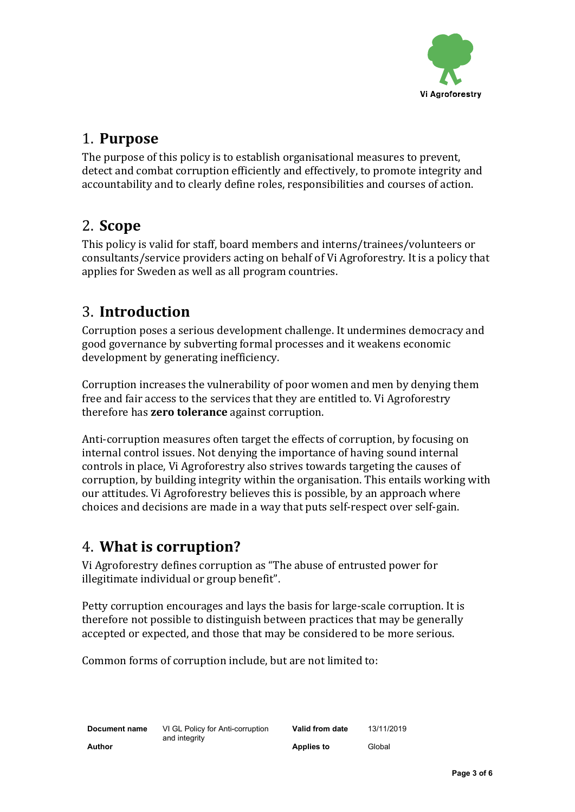

#### <span id="page-2-0"></span>1. **Purpose**

The purpose of this policy is to establish organisational measures to prevent, detect and combat corruption efficiently and effectively, to promote integrity and accountability and to clearly define roles, responsibilities and courses of action.

#### <span id="page-2-1"></span>2. **Scope**

This policy is valid for staff, board members and interns/trainees/volunteers or consultants/service providers acting on behalf of Vi Agroforestry. It is a policy that applies for Sweden as well as all program countries.

## <span id="page-2-2"></span>3. **Introduction**

Corruption poses a serious development challenge. It undermines democracy and good governance by subverting formal processes and it weakens economic development by generating inefficiency.

Corruption increases the vulnerability of poor women and men by denying them free and fair access to the services that they are entitled to. Vi Agroforestry therefore has **zero tolerance** against corruption.

Anti-corruption measures often target the effects of corruption, by focusing on internal control issues. Not denying the importance of having sound internal controls in place, Vi Agroforestry also strives towards targeting the causes of corruption, by building integrity within the organisation. This entails working with our attitudes. Vi Agroforestry believes this is possible, by an approach where choices and decisions are made in a way that puts self-respect over self-gain.

## <span id="page-2-3"></span>4. **What is corruption?**

Vi Agroforestry defines corruption as "The abuse of entrusted power for illegitimate individual or group benefit".

Petty corruption encourages and lays the basis for large-scale corruption. It is therefore not possible to distinguish between practices that may be generally accepted or expected, and those that may be considered to be more serious.

Common forms of corruption include, but are not limited to: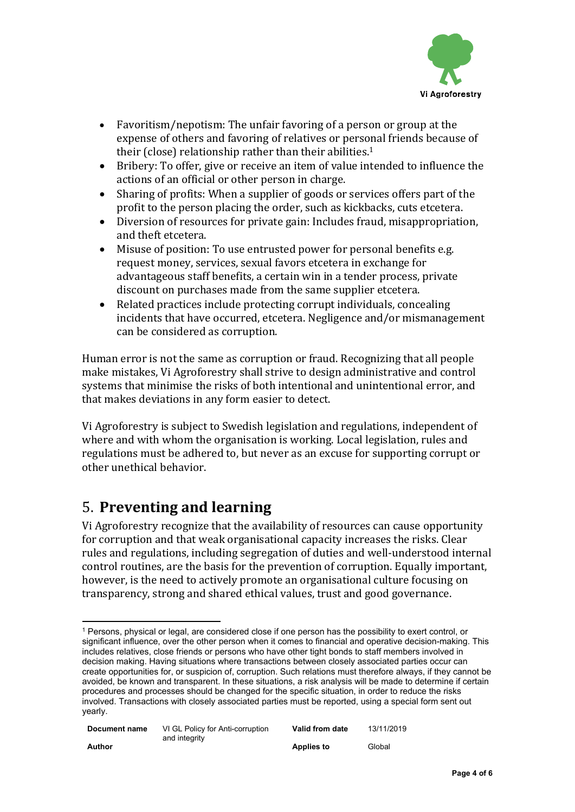

- Favoritism/nepotism: The unfair favoring of a person or group at the expense of others and [favoring](http://en.wiktionary.org/wiki/favor) of [relatives](http://en.wiktionary.org/wiki/relative) or personal friends because of their (close) [relationship](http://en.wiktionary.org/wiki/relationship) rather than their abilities.<sup>1</sup>
- Bribery: To offer, give or receive an item of value intended to influence the actions of an official or other person in charge.
- Sharing of profits: When a supplier of goods or services offers part of the profit to the person placing the order, such as kickbacks, cuts etcetera.
- Diversion of resources for private gain: Includes fraud, misappropriation, and theft etcetera.
- Misuse of position: To use entrusted power for personal benefits e.g. request money, services, sexual favors etcetera in exchange for advantageous staff benefits, a certain win in a tender process, private discount on purchases made from the same supplier etcetera.
- Related practices include protecting corrupt individuals, concealing incidents that have occurred, etcetera. Negligence and/or mismanagement can be considered as corruption.

Human error is not the same as corruption or fraud. Recognizing that all people make mistakes, Vi Agroforestry shall strive to design administrative and control systems that minimise the risks of both intentional and unintentional error, and that makes deviations in any form easier to detect.

Vi Agroforestry is subject to Swedish legislation and regulations, independent of where and with whom the organisation is working. Local legislation, rules and regulations must be adhered to, but never as an excuse for supporting corrupt or other unethical behavior.

## <span id="page-3-0"></span>5. **Preventing and learning**

Vi Agroforestry recognize that the availability of resources can cause opportunity for corruption and that weak organisational capacity increases the risks. Clear rules and regulations, including segregation of duties and well-understood internal control routines, are the basis for the prevention of corruption. Equally important, however, is the need to actively promote an organisational culture focusing on transparency, strong and shared ethical values, trust and good governance.

<sup>1</sup> Persons, physical or legal, are considered close if one person has the possibility to exert control, or significant influence, over the other person when it comes to financial and operative decision-making. This includes relatives, close friends or persons who have other tight bonds to staff members involved in decision making. Having situations where transactions between closely associated parties occur can create opportunities for, or suspicion of, corruption. Such relations must therefore always, if they cannot be avoided, be known and transparent. In these situations, a risk analysis will be made to determine if certain procedures and processes should be changed for the specific situation, in order to reduce the risks involved. Transactions with closely associated parties must be reported, using a special form sent out yearly.

| Document name | VI GL Policy for Anti-corruption<br>and integrity | Valid from date | 13/11/2019 |
|---------------|---------------------------------------------------|-----------------|------------|
| Author        |                                                   | Applies to      | Global     |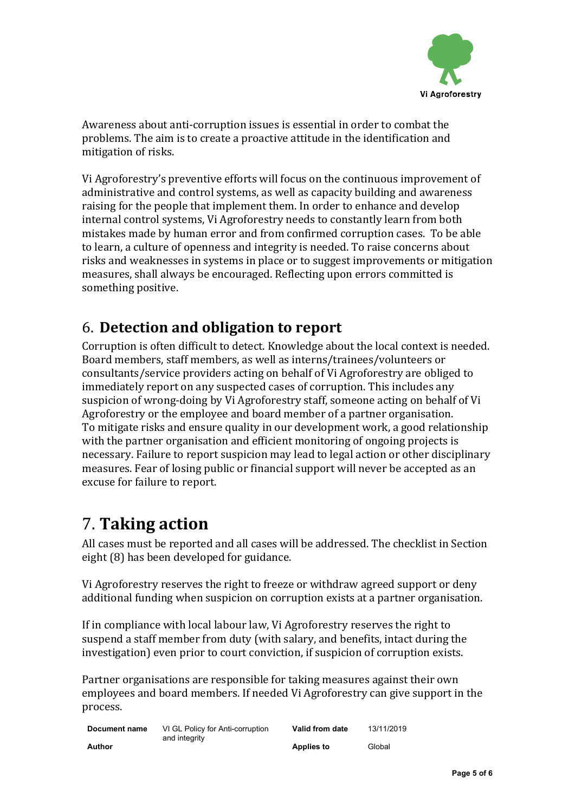

Awareness about anti-corruption issues is essential in order to combat the problems. The aim is to create a proactive attitude in the identification and mitigation of risks.

Vi Agroforestry's preventive efforts will focus on the continuous improvement of administrative and control systems, as well as capacity building and awareness raising for the people that implement them. In order to enhance and develop internal control systems, Vi Agroforestry needs to constantly learn from both mistakes made by human error and from confirmed corruption cases. To be able to learn, a culture of openness and integrity is needed. To raise concerns about risks and weaknesses in systems in place or to suggest improvements or mitigation measures, shall always be encouraged. Reflecting upon errors committed is something positive.

### <span id="page-4-0"></span>6. **Detection and obligation to report**

Corruption is often difficult to detect. Knowledge about the local context is needed. Board members, staff members, as well as interns/trainees/volunteers or consultants/service providers acting on behalf of Vi Agroforestry are obliged to immediately report on any suspected cases of corruption. This includes any suspicion of wrong-doing by Vi Agroforestry staff, someone acting on behalf of Vi Agroforestry or the employee and board member of a partner organisation. To mitigate risks and ensure quality in our development work, a good relationship with the partner organisation and efficient monitoring of ongoing projects is necessary. Failure to report suspicion may lead to legal action or other disciplinary measures. Fear of losing public or financial support will never be accepted as an excuse for failure to report.

# <span id="page-4-1"></span>7. **Taking action**

All cases must be reported and all cases will be addressed. The checklist in Section eight (8) has been developed for guidance.

Vi Agroforestry reserves the right to freeze or withdraw agreed support or deny additional funding when suspicion on corruption exists at a partner organisation.

If in compliance with local labour law, Vi Agroforestry reserves the right to suspend a staff member from duty (with salary, and benefits, intact during the investigation) even prior to court conviction, if suspicion of corruption exists.

Partner organisations are responsible for taking measures against their own employees and board members. If needed Vi Agroforestry can give support in the process.

| Document name | VI GL Policy for Anti-corruption<br>and integrity | Valid from date   | 13/11/2019 |
|---------------|---------------------------------------------------|-------------------|------------|
| Author        |                                                   | <b>Applies to</b> | Global     |